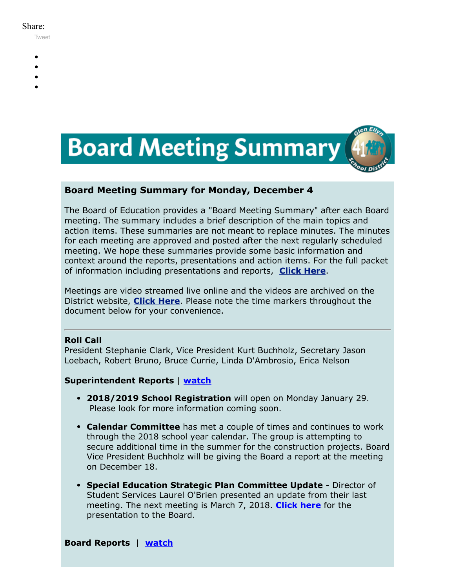#### Share:

[Tweet](https://twitter.com/intent/tweet?original_referer=https%3A%2F%2Fmyemail.constantcontact.com%2FBoard-Meeting-Summary-for-December-4--2017.html%3Fsoid%3D1102200973173%26aid%3D_5ryLcFEY7Y&ref_src=twsrc%5Etfw&text=Board%20Meeting%20Summary%20for%20December%204%2C%202017&tw_p=tweetbutton&url=https%3A%2F%2Fmyemail.constantcontact.com%2FBoard-Meeting-Summary-for-December-4--2017.html%3Fsoid%3D1102200973173%26aid%3D_5ryLcFEY7Y)

- 
- 
- 
- 
- 



## **Board Meeting Summary for Monday, December 4**

The Board of Education provides a "Board Meeting Summary" after each Board meeting. The summary includes a brief description of the main topics and action items. These summaries are not meant to replace minutes. The minutes for each meeting are approved and posted after the next regularly scheduled meeting. We hope these summaries provide some basic information and context around the reports, presentations and action items. For the full packet of information including presentations and reports, **[Click Here](http://www.d41.org/domain/36)**.

Meetings are video streamed live online and the videos are archived on the District website, **[Click Here](http://www.d41.org/domain/463)**. Please note the time markers throughout the document below for your convenience.

## **Roll Call**

President Stephanie Clark, Vice President Kurt Buchholz, Secretary Jason Loebach, Robert Bruno, Bruce Currie, Linda D'Ambrosio, Erica Nelson

## **Superintendent Reports** | **[watch](https://youtu.be/Gj5bFItXRTw?t=0m38s)**

- **2018/2019 School Registration** will open on Monday January 29. Please look for more information coming soon.
- **Calendar Committee** has met a couple of times and continues to work through the 2018 school year calendar. The group is attempting to secure additional time in the summer for the construction projects. Board Vice President Buchholz will be giving the Board a report at the meeting on December 18.
- **Special Education Strategic Plan Committee Update** Director of Student Services Laurel O'Brien presented an update from their last meeting. The next meeting is March 7, 2018. **[Click here](https://youtu.be/Gj5bFItXRTw?t=1m37s)** for the presentation to the Board.

**Board Reports** | **[watch](https://youtu.be/Gj5bFItXRTw?t=9m48s)**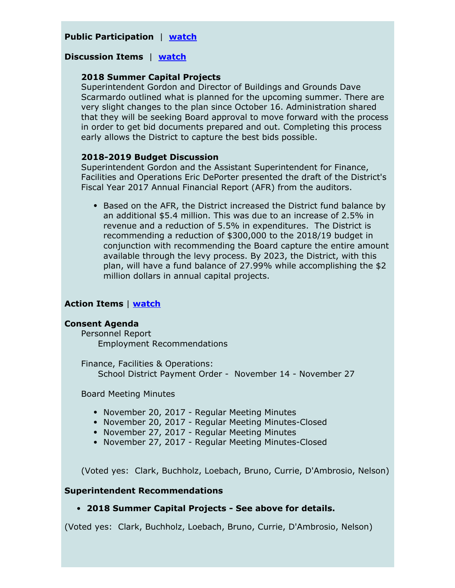## **Public Participation** | **[watch](https://youtu.be/Gj5bFItXRTw?t=18m23s)**

## **Discussion Items** | **[watch](https://youtu.be/Gj5bFItXRTw?t=52m07s)**

#### **2018 Summer Capital Projects**

Superintendent Gordon and Director of Buildings and Grounds Dave Scarmardo outlined what is planned for the upcoming summer. There are very slight changes to the plan since October 16. Administration shared that they will be seeking Board approval to move forward with the process in order to get bid documents prepared and out. Completing this process early allows the District to capture the best bids possible.

#### **2018-2019 Budget Discussion**

Superintendent Gordon and the Assistant Superintendent for Finance, Facilities and Operations Eric DePorter presented the draft of the District's Fiscal Year 2017 Annual Financial Report (AFR) from the auditors.

• Based on the AFR, the District increased the District fund balance by an additional \$5.4 million. This was due to an increase of 2.5% in revenue and a reduction of 5.5% in expenditures. The District is recommending a reduction of \$300,000 to the 2018/19 budget in conjunction with recommending the Board capture the entire amount available through the levy process. By 2023, the District, with this plan, will have a fund balance of 27.99% while accomplishing the \$2 million dollars in annual capital projects.

## **Action Items** | **[watch](https://youtu.be/Gj5bFItXRTw?t=1h48m13s)**

#### **Consent Agenda**

Personnel Report Employment Recommendations

Finance, Facilities & Operations: School District Payment Order - November 14 - November 27

Board Meeting Minutes

- November 20, 2017 Regular Meeting Minutes
- November 20, 2017 Regular Meeting Minutes-Closed
- November 27, 2017 Regular Meeting Minutes
- November 27, 2017 Regular Meeting Minutes-Closed

(Voted yes: Clark, Buchholz, Loebach, Bruno, Currie, D'Ambrosio, Nelson)

#### **Superintendent Recommendations**

## **2018 Summer Capital Projects - See above for details.**

(Voted yes: Clark, Buchholz, Loebach, Bruno, Currie, D'Ambrosio, Nelson)